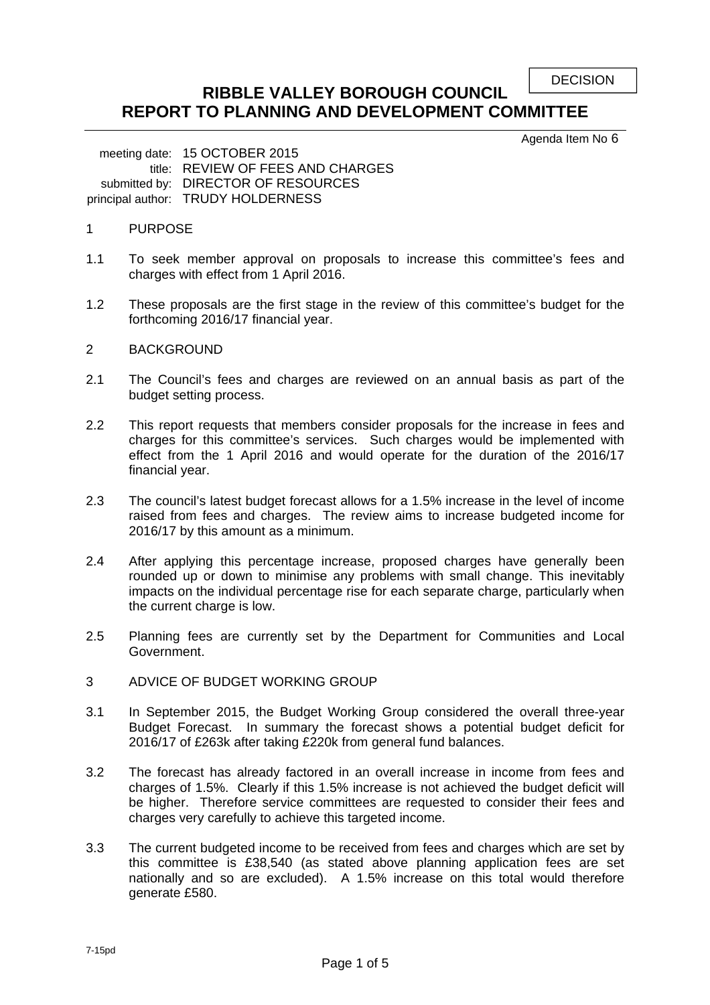**DECISION** 

# **RIBBLE VALLEY BOROUGH COUNCIL REPORT TO PLANNING AND DEVELOPMENT COMMITTEE**

Agenda Item No 6

meeting date: 15 OCTOBER 2015 title: REVIEW OF FEES AND CHARGES submitted by: DIRECTOR OF RESOURCES principal author: TRUDY HOLDERNESS

# 1 PURPOSE

- 1.1 To seek member approval on proposals to increase this committee's fees and charges with effect from 1 April 2016.
- 1.2 These proposals are the first stage in the review of this committee's budget for the forthcoming 2016/17 financial year.
- 2 BACKGROUND
- 2.1 The Council's fees and charges are reviewed on an annual basis as part of the budget setting process.
- 2.2 This report requests that members consider proposals for the increase in fees and charges for this committee's services. Such charges would be implemented with effect from the 1 April 2016 and would operate for the duration of the 2016/17 financial year.
- 2.3 The council's latest budget forecast allows for a 1.5% increase in the level of income raised from fees and charges. The review aims to increase budgeted income for 2016/17 by this amount as a minimum.
- 2.4 After applying this percentage increase, proposed charges have generally been rounded up or down to minimise any problems with small change. This inevitably impacts on the individual percentage rise for each separate charge, particularly when the current charge is low.
- 2.5 Planning fees are currently set by the Department for Communities and Local Government.
- 3 ADVICE OF BUDGET WORKING GROUP
- 3.1 In September 2015, the Budget Working Group considered the overall three-year Budget Forecast. In summary the forecast shows a potential budget deficit for 2016/17 of £263k after taking £220k from general fund balances.
- 3.2 The forecast has already factored in an overall increase in income from fees and charges of 1.5%. Clearly if this 1.5% increase is not achieved the budget deficit will be higher. Therefore service committees are requested to consider their fees and charges very carefully to achieve this targeted income.
- 3.3 The current budgeted income to be received from fees and charges which are set by this committee is £38,540 (as stated above planning application fees are set nationally and so are excluded). A 1.5% increase on this total would therefore generate £580.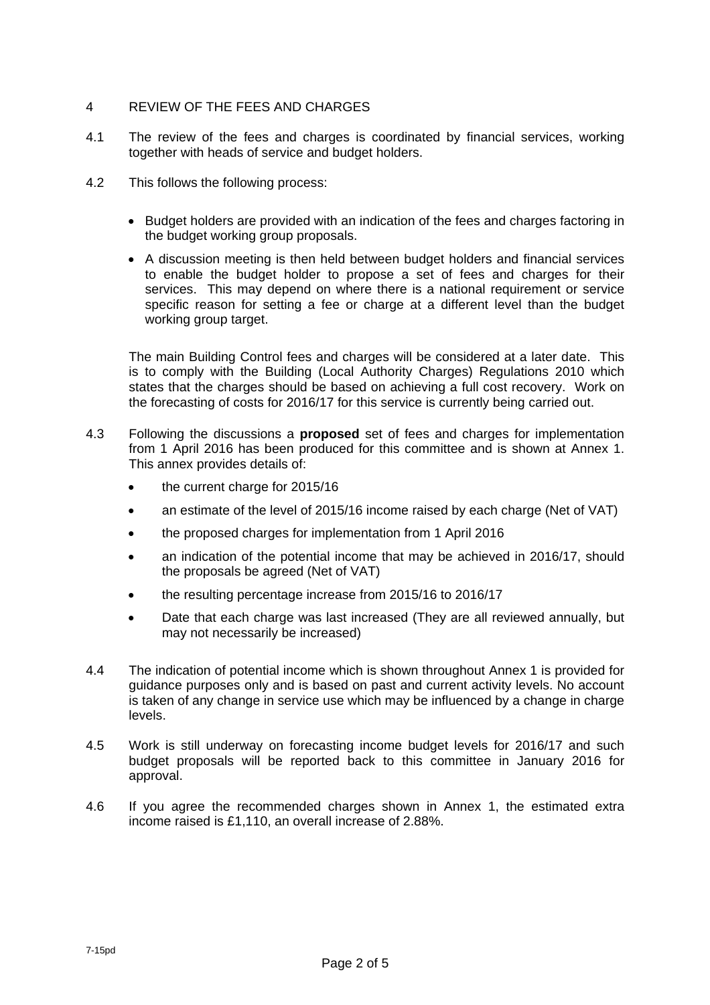# 4 REVIEW OF THE FEES AND CHARGES

- 4.1 The review of the fees and charges is coordinated by financial services, working together with heads of service and budget holders.
- 4.2 This follows the following process:
	- Budget holders are provided with an indication of the fees and charges factoring in the budget working group proposals.
	- A discussion meeting is then held between budget holders and financial services to enable the budget holder to propose a set of fees and charges for their services. This may depend on where there is a national requirement or service specific reason for setting a fee or charge at a different level than the budget working group target.

 The main Building Control fees and charges will be considered at a later date. This is to comply with the Building (Local Authority Charges) Regulations 2010 which states that the charges should be based on achieving a full cost recovery. Work on the forecasting of costs for 2016/17 for this service is currently being carried out.

- 4.3 Following the discussions a **proposed** set of fees and charges for implementation from 1 April 2016 has been produced for this committee and is shown at Annex 1. This annex provides details of:
	- the current charge for 2015/16
	- an estimate of the level of 2015/16 income raised by each charge (Net of VAT)
	- the proposed charges for implementation from 1 April 2016
	- an indication of the potential income that may be achieved in 2016/17, should the proposals be agreed (Net of VAT)
	- the resulting percentage increase from 2015/16 to 2016/17
	- Date that each charge was last increased (They are all reviewed annually, but may not necessarily be increased)
- 4.4 The indication of potential income which is shown throughout Annex 1 is provided for guidance purposes only and is based on past and current activity levels. No account is taken of any change in service use which may be influenced by a change in charge levels.
- 4.5 Work is still underway on forecasting income budget levels for 2016/17 and such budget proposals will be reported back to this committee in January 2016 for approval.
- 4.6 If you agree the recommended charges shown in Annex 1, the estimated extra income raised is £1,110, an overall increase of 2.88%.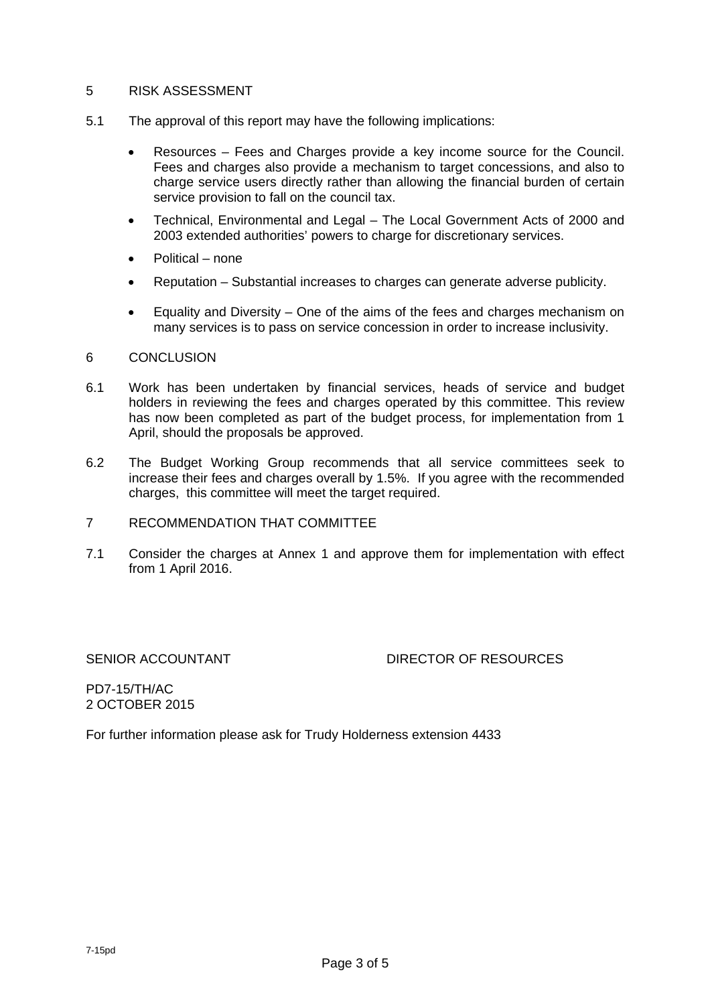### 5 RISK ASSESSMENT

- 5.1 The approval of this report may have the following implications:
	- Resources Fees and Charges provide a key income source for the Council. Fees and charges also provide a mechanism to target concessions, and also to charge service users directly rather than allowing the financial burden of certain service provision to fall on the council tax.
	- Technical, Environmental and Legal The Local Government Acts of 2000 and 2003 extended authorities' powers to charge for discretionary services.
	- Political none
	- Reputation Substantial increases to charges can generate adverse publicity.
	- Equality and Diversity One of the aims of the fees and charges mechanism on many services is to pass on service concession in order to increase inclusivity.

### 6 CONCLUSION

- 6.1 Work has been undertaken by financial services, heads of service and budget holders in reviewing the fees and charges operated by this committee. This review has now been completed as part of the budget process, for implementation from 1 April, should the proposals be approved.
- 6.2 The Budget Working Group recommends that all service committees seek to increase their fees and charges overall by 1.5%. If you agree with the recommended charges, this committee will meet the target required.
- 7 RECOMMENDATION THAT COMMITTEE
- 7.1 Consider the charges at Annex 1 and approve them for implementation with effect from 1 April 2016.

# SENIOR ACCOUNTANT DIRECTOR OF RESOURCES

PD7-15/TH/AC 2 OCTOBER 2015

For further information please ask for Trudy Holderness extension 4433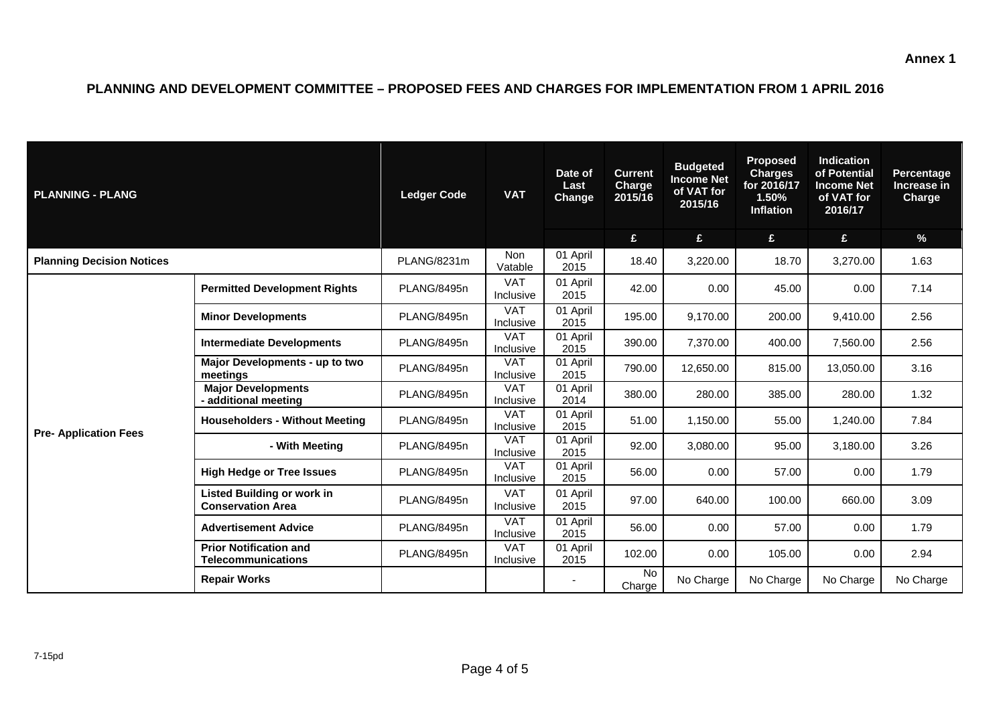# **PLANNING AND DEVELOPMENT COMMITTEE – PROPOSED FEES AND CHARGES FOR IMPLEMENTATION FROM 1 APRIL 2016**

| <b>PLANNING - PLANG</b>          |                                                               | <b>Ledger Code</b> | <b>VAT</b>              | Date of<br>Last<br><b>Change</b> | <b>Current</b><br>Charge<br>2015/16 | <b>Budgeted</b><br><b>Income Net</b><br>of VAT for<br>2015/16 | <b>Proposed</b><br><b>Charges</b><br>for 2016/17<br>1.50%<br><b>Inflation</b> | <b>Indication</b><br>of Potential<br><b>Income Net</b><br>of VAT for<br>2016/17 | <b>Percentage</b><br>Increase in<br>Charge |
|----------------------------------|---------------------------------------------------------------|--------------------|-------------------------|----------------------------------|-------------------------------------|---------------------------------------------------------------|-------------------------------------------------------------------------------|---------------------------------------------------------------------------------|--------------------------------------------|
|                                  |                                                               |                    |                         |                                  | £                                   | £                                                             | £                                                                             | £                                                                               | $\%$                                       |
| <b>Planning Decision Notices</b> |                                                               | PLANG/8231m        | <b>Non</b><br>Vatable   | 01 April<br>2015                 | 18.40                               | 3,220.00                                                      | 18.70                                                                         | 3,270.00                                                                        | 1.63                                       |
|                                  | <b>Permitted Development Rights</b>                           | PLANG/8495n        | <b>VAT</b><br>Inclusive | 01 April<br>2015                 | 42.00                               | 0.00                                                          | 45.00                                                                         | 0.00                                                                            | 7.14                                       |
|                                  | <b>Minor Developments</b>                                     | PLANG/8495n        | <b>VAT</b><br>Inclusive | 01 April<br>2015                 | 195.00                              | 9.170.00                                                      | 200.00                                                                        | 9,410.00                                                                        | 2.56                                       |
|                                  | <b>Intermediate Developments</b>                              | PLANG/8495n        | <b>VAT</b><br>Inclusive | 01 April<br>2015                 | 390.00                              | 7,370.00                                                      | 400.00                                                                        | 7,560.00                                                                        | 2.56                                       |
|                                  | Major Developments - up to two<br>meetings                    | PLANG/8495n        | <b>VAT</b><br>Inclusive | 01 April<br>2015                 | 790.00                              | 12,650.00                                                     | 815.00                                                                        | 13,050.00                                                                       | 3.16                                       |
|                                  | <b>Major Developments</b><br>- additional meeting             | PLANG/8495n        | <b>VAT</b><br>Inclusive | 01 April<br>2014                 | 380.00                              | 280.00                                                        | 385.00                                                                        | 280.00                                                                          | 1.32                                       |
|                                  | <b>Householders - Without Meeting</b>                         | PLANG/8495n        | <b>VAT</b><br>Inclusive | 01 April<br>2015                 | 51.00                               | 1,150.00                                                      | 55.00                                                                         | 1,240.00                                                                        | 7.84                                       |
| <b>Pre- Application Fees</b>     | - With Meeting                                                | PLANG/8495n        | <b>VAT</b><br>Inclusive | 01 April<br>2015                 | 92.00                               | 3,080.00                                                      | 95.00                                                                         | 3,180.00                                                                        | 3.26                                       |
|                                  | <b>High Hedge or Tree Issues</b>                              | PLANG/8495n        | <b>VAT</b><br>Inclusive | 01 April<br>2015                 | 56.00                               | 0.00                                                          | 57.00                                                                         | 0.00                                                                            | 1.79                                       |
|                                  | <b>Listed Building or work in</b><br><b>Conservation Area</b> | PLANG/8495n        | <b>VAT</b><br>Inclusive | 01 April<br>2015                 | 97.00                               | 640.00                                                        | 100.00                                                                        | 660.00                                                                          | 3.09                                       |
|                                  | <b>Advertisement Advice</b>                                   | PLANG/8495n        | <b>VAT</b><br>Inclusive | 01 April<br>2015                 | 56.00                               | 0.00                                                          | 57.00                                                                         | 0.00                                                                            | 1.79                                       |
|                                  | <b>Prior Notification and</b><br><b>Telecommunications</b>    | PLANG/8495n        | <b>VAT</b><br>Inclusive | 01 April<br>2015                 | 102.00                              | 0.00                                                          | 105.00                                                                        | 0.00                                                                            | 2.94                                       |
|                                  | <b>Repair Works</b>                                           |                    |                         |                                  | No<br>Charge                        | No Charge                                                     | No Charge                                                                     | No Charge                                                                       | No Charge                                  |